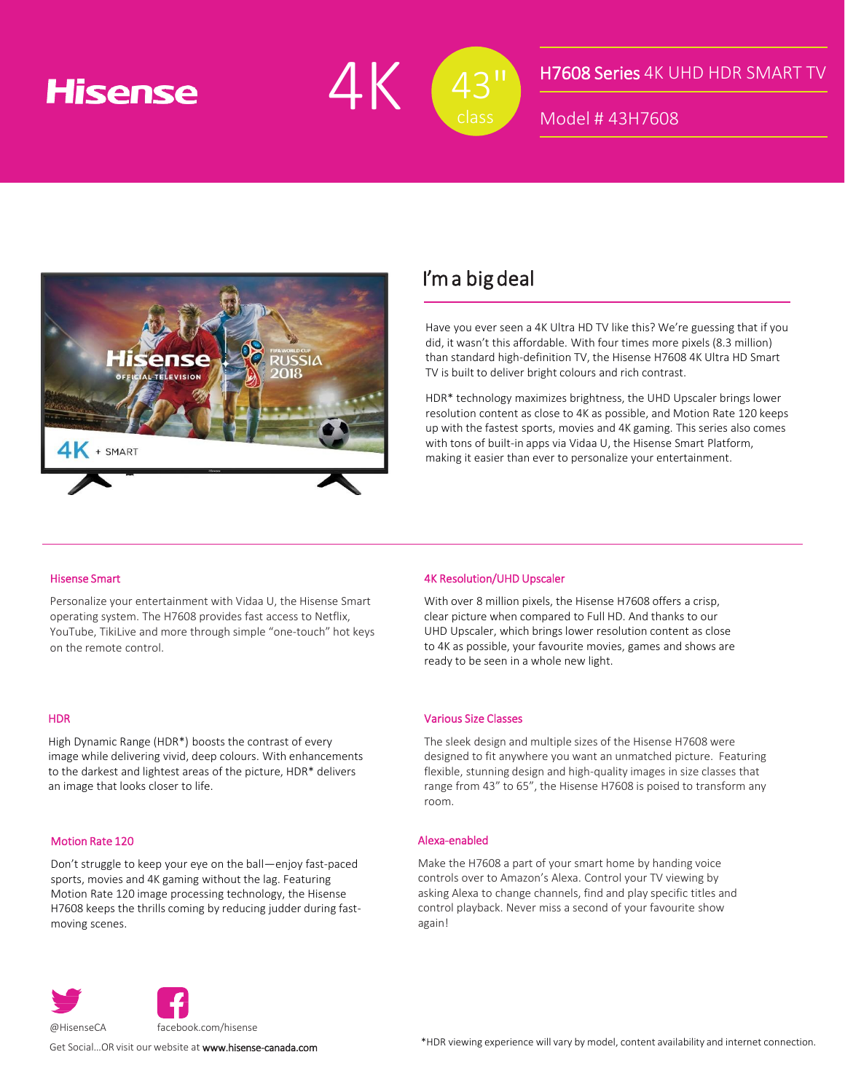# **Hisense**



### H7608 Series 4K UHD HDR SMART TV

Model # 43H7608



## I'm a big deal

Have you ever seen a 4K Ultra HD TV like this? We're guessing that if you did, it wasn't this affordable. With four times more pixels (8.3 million) than standard high-definition TV, the Hisense H7608 4K Ultra HD Smart TV is built to deliver bright colours and rich contrast.

HDR\* technology maximizes brightness, the UHD Upscaler brings lower resolution content as close to 4K as possible, and Motion Rate 120 keeps up with the fastest sports, movies and 4K gaming. This series also comes with tons of built-in apps via Vidaa U, the Hisense Smart Platform, making it easier than ever to personalize your entertainment.

#### Hisense Smart

Personalize your entertainment with Vidaa U, the Hisense Smart operating system. The H7608 provides fast access to Netflix, YouTube, TikiLive and more through simple "one-touch" hot keys on the remote control.

#### HDR

High Dynamic Range (HDR\*) boosts the contrast of every image while delivering vivid, deep colours. With enhancements to the darkest and lightest areas of the picture, HDR\* delivers an image that looks closer to life.

#### Motion Rate 120

Don't struggle to keep your eye on the ball—enjoy fast-paced sports, movies and 4K gaming without the lag. Featuring Motion Rate 120 image processing technology, the Hisense H7608 keeps the thrills coming by reducing judder during fastmoving scenes.

#### 4K Resolution/UHD Upscaler

With over 8 million pixels, the Hisense H7608 offers a crisp, clear picture when compared to Full HD. And thanks to our UHD Upscaler, which brings lower resolution content as close to 4K as possible, your favourite movies, games and shows are ready to be seen in a whole new light.

#### Various Size Classes

The sleek design and multiple sizes of the Hisense H7608 were designed to fit anywhere you want an unmatched picture. Featuring flexible, stunning design and high-quality images in size classes that range from 43" to 65", the Hisense H7608 is poised to transform any room.

#### Alexa-enabled

Make the H7608 a part of your smart home by handing voice controls over to Amazon's Alexa. Control your TV viewing by asking Alexa to change channels, find and play specific titles and control playback. Never miss a second of your favourite show again!



Get Social…OR visit our website at www.hisense-canada.com